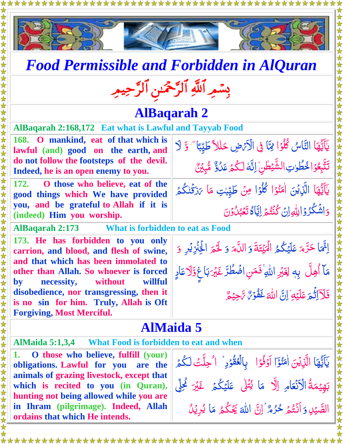



## *Food Permissible and Forbidden in AlQuran*

# بِسْمِرِ اللَّهِ الرَّحْمَٰنِ الرَّحِيمِرِ

#### **AlBaqarah 2**

ڪليبجا<sup>ء</sup><br>ڪليبجا ِب آباد ا

مَا<sup>ْ</sup> √َزَقَٰنٰکُمۡ

<u>ل</u><br>ک ر

۔<br>گ ֺ֚

**AlBaqarah 2:168,172 Eat what is Lawful and Tayyab Food** 

| $\sqrt{168}$ . O mankind, eat of that which is $\left \int \frac{1}{2} dx\right $ |  |
|-----------------------------------------------------------------------------------|--|
| lawful (and) good on the earth, and                                               |  |
| do not follow the footsteps of the devil.                                         |  |
| Indeed, he is an open enemy to you.                                               |  |
|                                                                                   |  |

**172. O those who believe, eat of the good things which We have provided you, and be grateful to Allah if it is (indeed) Him you worship.**

**تَعَبُّلُونَ AlBaqarah 2:173 What is forbidden to eat as Food** 

**173. He has forbidden to you only carrion, and blood, and flesh of swine, and that which has been immolated to other than Allah. So whoever is forced by necessity, without willful disobedience, nor transgressing, then it is no sin for him. Truly, Allah is Oft Forgiving, Most Merciful.**

ا ر<br>ا ایت<sub>ی</sub>) حَرَّمَ عَلَيۡكُمُ الۡمَيۡتَةَ رّ **گ** ں<br>یہ لَہٗ<br>ُ ر<br>ا الۡمَیۡتَةَ َ و ا<br>ا اللَّه  $\ddot{\zeta}$ <u>ُ</u> و لَّكُمَ الْحِنْزِيْرِ <u>ُ</u> و ٓا **م**<br>م مَا أُهِلَّ بِهٖ لِغَيْرِ اللَّهِ ۚ فَمَنِ اضۡطُرَّ رّ غَيۡرَ بَاغٍ وَّلَا عَادٍ Ï فَلَاَاثَ ا ر<br>گ م ِه لَي َ َ ع ِن ا ֞֞׆<br>֡  $\ddot{\cdot}$ َ هّلِل ا  $\tilde{\mathcal{S}}$ .<br><mark>خَفُو</mark>سٌ سَ <u>أ</u> **ُ**  $\tilde{J}$  $\tilde{\mathcal{S}}$ م ِحي بَدِ<br>ا

يَاَيَّهَا التَّاسُ كُلُوۡا مِمَّا فِى الْأَتۡهِ حَللاً طَيِّبَا

تَتَّبِعُوۡ اخْطُوٰتِ الشَّيۡطٰنِۙ لِنَّهَ لَكُمۡ عَلُوٌّ مُّبِيَّنَ

<u>ُز</u>  $\frac{1}{2}$ 

 $\frac{1}{2}$ 

 $\tilde{\lambda}$ ر<br>ا ە<br>ئى

J<br>|

ا<br>ا ل

 $\overline{\phantom{a}}$  $\ddot{\phantom{0}}$ 

امَنُو<sub>ْ</sub>ا كُلُوْا مِنْ طَيِّبْتِ مَا

 $\tilde{\cdot}$ 

<u>ُ</u> ر<br>أ ؘ<br>ؙ

 $\tilde{\lambda}$ 

<u>ُ</u>

֧֖֚֚֚֚֝<br>֧֚֝ ِب آباد<br>د

**ُ**<br>تع  $\ddot{\hat{}}$ 

**م**<br>م

J

یکا<br>سا ة<br>منا

> <u>ُز</u> ر<br>ا

<u>أ</u>  $\frac{1}{2}$  نا<br>پا  $\frac{1}{2}$ ֖֚֚֚֬

<u>أ</u> ڙ

> نا<br>ا  $\frac{1}{2}$ ֧֚֚֝

> > <u>و</u><br>\_

 $\ddot{\tilde{}}$ 

وَاشَكْرُوۡالِلّهِ اِنۡ كُنۡتُمۡ اِيَّاَهُ

ن<br>أ ا

يَآيَّهَا الَّذِيْنَ اٰمَنُوۡا

 $\mathcal{C}$ 

ِ<br>َ ر<br>\_

ا <u>ُز</u>

### **AlMaida 5**

**AlMaida 5:1,3,4 What Food is forbidden to eat and when**

**1. O those who believe, fulfill (your) obligations. Lawful for you are the animals of grazing livestock, except that which is recited to you (in Quran), hunting not being allowed while you are in Ihram (pilgrimage). Indeed, Allah ordains that which He intends.**

يَآيَّهَا الَّذِيْنَ اٰمَنُوَٓا ُمَّا<br>ُ  $\frac{1}{2}$ ֖֚֚֚֬  $\tilde{\zeta}$ <u>أ</u> نُو<br>مُ اٰ مَنْوَٓا اَوۡفُوۡا ۚ بِالۡعُقُوۡدِ ۚ ا ُحِلَّتَ لَكُمۡ <u>أ</u> نُّ<br>ف <u>ُ</u> <u>ُز</u> ان<br>م ُّ الم<br>المسابق<br>المسابق<br>المسابق<br>المسابق<br>المسابق ۔<br>گ ا<br>ا ل ة رو<br>ا **م**<br>م بَهِيْمَةُ الْأَنْعَامِ یَـ<br>ای ا<mark>لْأَنْعَا</mark>مِ اِلَّ<mark>ا</mark> مَا مَا يُّتُلٰ عَلَيْكُم*ُ* <u>ُ</u> ہ<br>گ ابا<br>ا غَيْرَ <u>گُ</u>لِّي الصَّيْلِ پَ<br>ُ Ë <u>ُ</u><br>ا وَأَنْتُمْ ر<br>گ نو<br>ا ن<br>أ  $\lambda$ حُرُمٌ ۚ إِنَّ ُر<br>ر ُ<br>أ .<br>. اللهَ يَجْكُمُ <mark>مَا</mark> نم<br>م ۡ ر<br>م مَا يُرِيۡلُ <u>ُ</u> <u>ِ</u>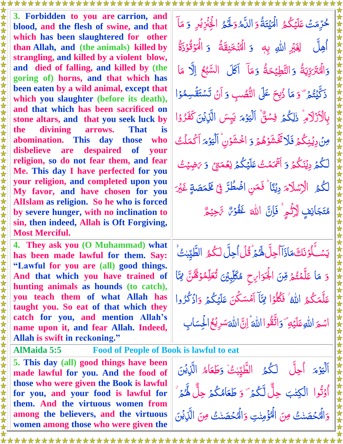**3. Forbidden to you are carrion, and blood, and the flesh of swine, and that which has been slaughtered for other than Allah, and (the animals) killed by strangling, and killed by a violent blow, and died of falling, and killed by (the goring of) horns, and that which has been eaten by a wild animal, except that which you slaughter (before its death), and that which has been sacrificed on stone altars, and that you seek luck by the divining arrows. That is abomination. This day those who disbelieve are despaired of your religion, so do not fear them, and fear Me. This day I have perfected for you your religion, and completed upon you My favor, and have chosen for you AlIslam as religion. So he who is forced by severe hunger, with no inclination to sin, then indeed, Allah is Oft Forgiving, Most Merciful.**

**4. They ask you (O Muhammad) what has been made lawful for them. Say: "Lawful for you are (all) good things. And that which you have trained of hunting animals as hounds (to catch), you teach them of what Allah has taught you. So eat of that which they catch for you, and mention Allah's name upon it, and fear Allah. Indeed, Allah is swift in reckoning."**

**AlMaida 5:5 Food of People of Book is lawful to eat 5. This day (all) good things have been made lawful for you. And the food of those who were given the Book is lawful for you, and your food is lawful for them. And the virtuous women from among the believers, and the virtuous women among those who were given the** 

حُرِّمَتْ عَلَيۡكُمُ ۗ الۡمَيۡتَةُ ڒ ُّ **مُ** ر<br>پ لَيْہِ<br>م لبا<br>الم الۡمَیۡتَةُ <u>ُ</u> و دَم ال الم<br>المراجع ِّبَ <u>َ</u> وَلَّحُمُ الْحِنْزِيْرِ **مُ** <u>ُ</u> وَ مَاَ م<br>م م اُهِلَّ لِ<del>غَ</del>بْرِ الل<sub>َّٰہِ</sub> بِهٖ ل <u>ُ</u> وَ الْمُنْخَنِقَةُ نِ ر<br>ا وَ الۡمَوۡقُوۡذَةُ <u>أ</u> نُو<br>فا <u>ُز</u> <u>ُ</u><br>ا وَالْهُنْزَدِّيَةُ رو<br>ا ز ا<br>تر الَّكْتَرَدِّيَةُ ر<br>ا <u>ُ</u><br>ا ة و َ ح ِطي َ الن رو<br>ا ֞֞׆<br>֡ <u>ئڈ</u> َ وَ مَاَ مَآ أَكَلَ السَّبْعُ اِلَّا **گر**<br>ح ر<br>أ Ĩ م<br>م ما ہ<br>گ ذَكَّيْتُم<sup>َّ ت</sup>َ ر<br>ا لَيْنَ<br>م <u>َ</u> و ا م<br>م مَا ذُبِحَ عَلَى النُّصُبِ <u>ُ</u> نا<br>مُمَّا ڋ َ وَ أَنْ تَسْتَقُسِمُوْا ֪֦֪֦֪֦֪֦֪֪֦֪֪֦֞֝֝֝֝֝֝֟֓֟֓֟֓֟֓֟֓֟֓֟֓֟֓֟֓֟֓֟֓֟֓֟֓֟֓֟֓֟֓֟֡֟֟֟ <u>أ</u> ُّ <u>ú</u> ت بِالۡأَزۡلَامِ ۚ ذٰلِكُمۡ فِسۡنٌۢ ہ<br>گ ل Į فِسَق ر<br>م م و <u>ُز</u> اَلۡيَوۡمَ يَبِسَ الَّزِيۡنَ كَفَرُوۡا ِ<br>م∕م  $\tilde{\zeta}$ <u>ُ</u> ر<br>ر  $\frac{1}{2}$ مِنۡ دِيۡنِكُمۡ فَلَا تَّغۡشَوۡهُمۡ وَ ۔<br>گ ֦֦֦֦֦֦֦֦֦֦֦֦֦֦֦֦֦֦֦֦֦֧֦֦֦֦֦֦֦֦֦֦֦֦֦֦֦֦֞֝֝֝֝֝֝֝֝֝֓֝֟֓֟֓֓֞֓֟֓֓֞֓֟֓֓֞ ر<br>گ <u>ه</u> <u>ُ</u><br>ُ وَ اخْشَوْنِ <u>ُ</u><br>ُ ر<br>ا م و <u>أ</u> اَلۡيَوۡمَ اَکۡمَلۡتُ ۖ<br>ا ۔<br>ا ڷػؙ۠ۿؘڔؽؘ<mark>ڹ</mark>ؘػؙ۠ۿ اب<br>ا ۔<br>ا اُ<br>ُ وَ اَ<sup>ت</sup>َمَمۡتُ عَلَيۡكُمۡ نِعۡمَتِن<sub>َ</sub> ۔<br>ا ں<br>پ  $\tilde{a}$ ن**غ**متى دَ *تاضِيْتْ* <u>ل</u><br>ك *ئاخبى*يىشى **مُ** َُّكم ل الْاِسْلَامَ دِيْنًا ؕ فَمَنِ اضۡطُرَّ فِىۡ مِخۡمَصَةٍ غَيۡرَ Ĩ اُ<br>ا رّ <u>مَ</u> مُتَجَانِفٍ لِّأِثُمِ ِ<br>ُنگر  $\sum_{i=1}^{n}$ لِّأْتُمِ ۚ فَاِنَّ  $\ddot{\cdot}$ َ هّلِل ا  $\tilde{\mathbf{J}}$ ۼ<mark>ۿ</mark>۫ۅ<sup>ڕ</sup>۠ ؆ڿؽ<sup>ۄ</sup>۠ <u>أ</u> ُّ ِسَّحِي<sub>ْ</sub><br>سَاحِيْهِ رَ<br>پ  $\tilde{J}$ 

<u>أ</u> يَسۡـَلۡوۡنَكَ مَاٰذَاۤ  $\mu$ <u>ú</u> ر<br>م مَاذَاأُجِلَّ لَهُمۡ ۚ قُلۡ اُحِلَّ لَكُمُ الطَّيِّبٰتُۢ ۔<br>ا ُّ **ٔ** اب<br>ا ِب آراوا<br>د <u>َ</u> و ا م<br>م مَا عَلَّمۡتُمۡوِّسَ الْجَوَارِحِ ر<br>گ **ُوَ** ر<br>أ Ž الْجَوَارِحِ مُكَلِّبِينَ تُعَلِّمُوۡهُنَّ ِ<br>ُنگر  $\ddot{\cdot}$ ن<br>ک <u>ُز</u> ُّ تُعَلِّمُوۡهُنَّ مِمَّا  $\frac{5}{2}$ **ک** مَكْثُر عَلَّمَكُمُ اللَّهُ ۚ فَكُلُوۡۤا لَئِنَّآ <u>مُ</u> <u>أ</u>  $\frac{1}{2}$ ا<br>ا  $\frac{1}{2}$ لِمَّآ اَمۡسَكۡنَ عَلَيۡكُمۡ ۖ ۔<br>ا ر<br>ایل <u>ُ</u> وَاذْكُرُوا ر<br>ر اسْمَ الل<mark>َّهِ عَلَيْهِ</mark> یک<br>نا وَاتَّقُوا ألما اللَّ<mark>اءُ</mark> إِنَّ Ï ا للْةَسَرِيْحُالْجِسَابِ ا **ُ** الْمِيہ

ر<br>ا م و <u>أ</u> ایگر<br>مو اَلۡيَوۡمَ اُحِلَّ لَكُمُ الطَّيِّبٰتُٰ **گر** ا<br>ا ِب آراوا<br>د <u>ُ</u><br>ا وَطَعَاهُ الم<br>المراجع َ َطع َ ۡن َِذي ال  $\tilde{\zeta}$ وَتُوا ش<br>لا ت <u>ُ</u><br>ُ اُّ <u>َ</u> الكِتٰبَ حِلُّ لَّكُمۡ َ ֧֚֚֝ ہ<br>گ ت<br>ا <u>ُ</u> وَ طَعَامُكُمْ ہ<br>گ ِ<br>ا طَعَامُكُمۡ حِلٌّ لِّكُمۡ ۚ ہ<br>گ ُّ وَالْمُحۡصَنٰتُ مِنَ الۡمُؤۡمِنٰتِ ر<br>ا ֧֦֧֦֧֦֧֦֧֦֧֦֧ׅ֚֝֜֝֬<br>֧֚֚֝ ُمُّ وَالْمُحْصَنٰتُ مِنَ ُمُ الَّذِينَ<br>اللَّذِينَ  $\tilde{\zeta}$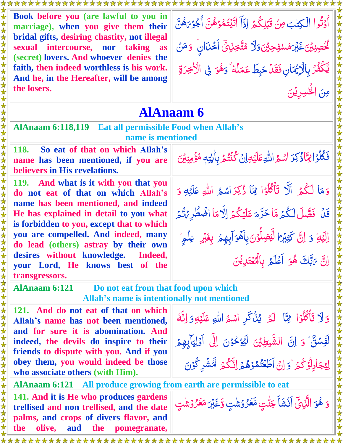| *******************                                                                                                                                                                                                                                     |                                                                                                                                                             |  |
|---------------------------------------------------------------------------------------------------------------------------------------------------------------------------------------------------------------------------------------------------------|-------------------------------------------------------------------------------------------------------------------------------------------------------------|--|
| 女女女女<br>Book before you (are lawful to you in<br>marriage), when you give them their<br>bridal gifts, desiring chastity, not illegal<br>sexual intercourse, nor<br>taking as                                                                            | أَوْتُوا الْكِتٰبَ مِنْ قَبْلِكُمْ إِذَآ الْيَتُمُوۡهُنَّ أَجُوۡهَشَّ<br>كْحُصِنِيْنَ غَيْرَمُسْفِحِيْنَ وَلَا مُتَّخِذِينَ أَخْدَانٍ ۚ وَمَنْ              |  |
| 女女女女女女女女女女女女女女女女女女<br>(secret) lovers. And whoever denies the<br>faith, then indeed worthless is his work.<br>And he, in the Hereafter, will be among<br>the losers.                                                                                    | يَّكَفُرُ بِالْإِيِّمَانِ فَقَلْ حَبِطَ عَمَلُهُ ۙ وَهُوَ فِي الْأَخِرَةِ                                                                                   |  |
|                                                                                                                                                                                                                                                         | مِنَ الْحَسِرِيْنَ                                                                                                                                          |  |
| <b>AlAnaam 6</b><br><b>AlAnaam 6:118,119</b><br><b>Eat all permissible Food when Allah's</b><br>name is mentioned                                                                                                                                       |                                                                                                                                                             |  |
| <b>118.</b><br>So eat of that on which Allah's<br>name has been mentioned, if you are<br>believers in His revelations.                                                                                                                                  | فَكُلُوَ الثّاَذُكِرَ اسْمُ اللّهِ عَلَيْهِ إِنَّ كُنْتُمْ بِالْيَتِهِ مُؤْمِنِينَ                                                                          |  |
| 女女女女女女女女女<br>119. And what is it with you that you<br>do not eat of that on which Allah's<br>name has been mentioned, and indeed                                                                                                                        | وَمَا لَكُمْ أَلَّا تَأْكُلُوْا مِمَّا ذُكِرَاسُمُ اللَّهِ عَلَيْهِ وَ                                                                                      |  |
| He has explained in detail to you what<br>$\bigstar$<br>is forbidden to you, except that to which<br>you are compelled. And indeed, many                                                                                                                | قَلْ فَصَّلَ لَكُمْ مَّا حَرَّمَ عَلَيْكُمْ إِلَّا مَا افْمَطُرِيْتُمْ<br>اِلِيَّةِ وَ اِنَّ كَثِيْرًا لَيْضِلُّوْنَ بِأَهُوَ أَبِهِمْ بِغَيْرِ ۚ عِلْمِرَٰ |  |
| 女女女女女女女女女女女女女女女女女女<br>do lead (others) astray by their own<br>desires without knowledge. Indeed,<br>your Lord, He knows best of the<br>transgressors.                                                                                                   | ِ<br>إِنَّ يَهَّكَ هُوَ أَعْلَمُ بِالْمُعْتَدِيْنَ                                                                                                          |  |
| <b>AlAnaam 6:121</b><br>Do not eat from that food upon which<br>Allah's name is intentionally not mentioned                                                                                                                                             |                                                                                                                                                             |  |
| 121. And do not eat of that on which<br>Allah's name has not been mentioned,<br>and for sure it is abomination. And                                                                                                                                     | وَلَا تَأْكُلُوْا ۚ فِمَّا ۚ لَمْ يُذۡكَرِ اسۡمُ اللَّهِ عَلَيۡهِ وَ اِنَّهَٰ                                                                               |  |
| indeed, the devils do inspire to their<br>friends to dispute with you. And if you                                                                                                                                                                       | لَفِسْنٌ وَ إِنَّ الشَّيْطِيْنَ لَيُوْحُوْنَ إِلَى أَوْلِيَآبِهِمْ                                                                                          |  |
| obey them, you would indeed be those<br>who associate others (with Him).                                                                                                                                                                                | لِيُجَادِلُوۡكُمۡ ۚ وَ إِنۡ اَطَعۡتُمُوۡهُمۡ إِنَّكُمۡ لَّأَشۡلِ كُوۡنَ                                                                                     |  |
| 女女女女女女女女女女女女<br>AlAnaam 6:121 All produce growing from earth are permissible to eat<br>141. And it is He who produces gardens<br>trellised and non trellised, and the date<br>palms, and crops of divers flavor, and<br>the olive, and the nomegranate. | وَ هُوَ الَّذِيِّ اَنۡشَآ جَنّٰتِ مَّعۡرُوۡشَٰتِ وَّغَيۡرَ مَعۡرُوۡشَٰتِ                                                                                    |  |

#### **AlAnaam 6:121 Do not eat from that food upon which Allah's name is intentionally not mentioned**

女女女女女女女女女女女女女女女女女女

**141. And it is He who produces gardens trellised and non trellised, and the date palms, and crops of divers flavor, and the olive, and the pomegranate,**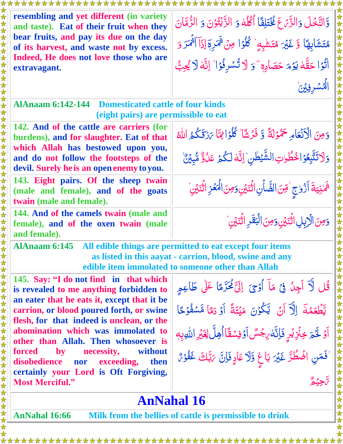| resembling and yet different (in variety<br>and taste). Eat of their fruit when they                                                                                                                                                  | وَّالتَّخَلَ وَالزَّمَّ عَ فَخْتَلِفًا أَكْلُهُ وَ الزَّيْتُوْنَ وَ الزُّمَّانَ   |  |
|---------------------------------------------------------------------------------------------------------------------------------------------------------------------------------------------------------------------------------------|-----------------------------------------------------------------------------------|--|
| bear fruits, and pay its due on the day<br>of its harvest, and waste not by excess.                                                                                                                                                   | مُتَشَابِهَا وَّ غَيْرَ مُتَشْبِهٍ ۚ ݣُلُوۡ! مِنۡ ثَمَرِمَ إِذَآ أَثۡمَرَ وَ      |  |
| Indeed, He does not love those who are<br>extravagant.                                                                                                                                                                                | الْنُوۡا حَقَّهٗ يَوۡمَ حَصَادِم ۖ وَ لَا تُسۡرِفُوۡا ۙ لِنَّهٗ لَا يُجِبُّ       |  |
|                                                                                                                                                                                                                                       | الثشرفين                                                                          |  |
| <b>AlAnaam 6:142-144 Domesticated cattle of four kinds</b><br>(eight pairs) are permissible to eat                                                                                                                                    |                                                                                   |  |
| 142. And of the cattle are carriers (for<br>burdens), and for slaughter. Eat of that                                                                                                                                                  | وَمِنَ الْأَنْعَامِ حَمْوْلَةً وَ فَرْشًا ݣُلُوْامِيًّا يَرَوَّكُمُ اللَّهُ       |  |
| which Allah has bestowed upon you,<br>and do not follow the footsteps of the<br>devil. Surely he is an open enemy to you.                                                                                                             | وَلَاتَتَّبِعُوْا حُطُوتِ الشَّيْطٰنِ ۚ إِنَّهَ لَكُمَ عَلُوٌّ مُّبِيَّنٌ         |  |
| 143. Eight pairs. Of the sheep twain<br>(male and female), and of the goats<br>twain (male and female).                                                                                                                               | شَمْنِيَةَ أَزْوجٍ ۚ قِنَ الضَّأَنِ اثْنَيْنِ وَمِنَ الْمَعۡزِ اثْنَيۡنِ ۚ        |  |
| 144. And of the camels twain (male and<br>female), and of the oxen twain (male<br>and female).                                                                                                                                        | وَمِنَ الْإِبِلِ اثْنَيْنِ وَمِنَ الْبَقَرِ اثْنَيْنِ                             |  |
| $\blacklozenge$<br>AlAnaam 6:145 All edible things are permitted to eat except four items<br>女女女女女女女女女女女女女女女女女女女女女女女女<br>as listed in this aayat - carrion, blood, swine and any<br>edible item immolated to someone other than Allah |                                                                                   |  |
| 145. Say: "I do not find in that which<br>is revealed to me anything forbidden to                                                                                                                                                     | قُل لَآ اَجِنُ فِيَ مَآ أَوۡجِيَ ۚ إِلَيَّٱ مُحَدَّمًا عَلَىٰ طَاعِمٍ             |  |
| an eater that he eats it, except that it be<br>carrion, or blood poured forth, or swine<br>flesh, for that indeed is unclean, or the                                                                                                  | يَّطْعَمُكَ إِلَّا آنَ يَّكُوۡنَ مَيۡتَةً أَوۡ دَمَا مَّسۡفُوۡكَا                 |  |
| abomination which was immolated to<br>other than Allah. Then whosoever is                                                                                                                                                             | آؤَ لَحُمَ خِنَّزِيْرٍ فَإِنَّهْ بِجُسٌّ آوَفِسُقَّا أُهِلَّ لِغَيْرِ اللّهِ بِهِ |  |
| forced<br>without<br>$\mathbf{by}$<br>necessity,<br>disobedience<br>exceeding,<br>then<br>nor<br>certainly your Lord is Oft Forgiving,                                                                                                | ْ فَمَنِ اضُطُرَّ غَيْرَ بَاغِ وَّلَا عَادٍ فَإِنَّ يَبَّلُكَ غَفُوْرٌ            |  |
| <b>Most Merciful."</b>                                                                                                                                                                                                                |                                                                                   |  |
| <b>AnNahal 16</b>                                                                                                                                                                                                                     |                                                                                   |  |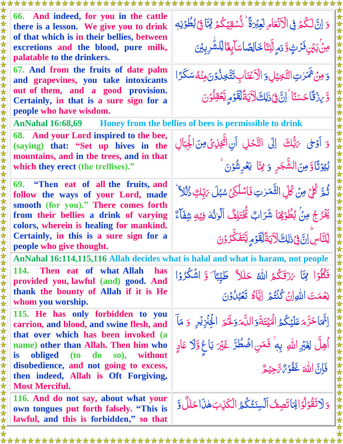| وَ إِنَّ لَكُمۡ فِى الۡكَنۡعَامِ لَعِبۡرَةً ۚ تُّسۡقِيۡكُمۡ يِّبَآ فِىۡ بُطُوۡنِهٖ<br><i>ۄڹ</i> ۢٛڹؽڹۘڡ۬ۯٙٮؾٟ۫ۊۜ <sub>ۮ</sub> ۄٟڵڹۜڹ <sub>ٙ</sub> ٲڂٵڶؚڞٙٳڛؘٳۧؠؚۼؘٲڵؚڵۺ۠ڔۣڹؽٙؽ                                                                                                         |  |  |
|----------------------------------------------------------------------------------------------------------------------------------------------------------------------------------------------------------------------------------------------------------------------------------------|--|--|
| وَمِنْ ثَمَرْتِ النَّخِيْلِ وَ الْأَعْنَابِ تَتَّخِنُّوْنَ مِنْهُ سَكَرًا<br>وَّ يِنْ قَا حَسَنًا ۚ إِنَّ فِي ذٰلِكَ لَآيَةً لِقَوۡمِ يَعۡقِلُوۡنَ                                                                                                                                     |  |  |
| AnNahal 16:68,69 Honey from the bellies of bees is permissible to drink                                                                                                                                                                                                                |  |  |
| وَ أَوْلَى يَابُّكَ إِلَى النَّحْلِ أَنِ اتَّخِلِكَنَّ مِنَ الْجِبَالِ<br>كِيْوْتَاوْمِنَ الشَّجَرِ وَ مِمَّا يَعْرِشُوْنَ                                                                                                                                                             |  |  |
| ثُمَّ كُلِّ مِنْ كُلِّ الثَّمَرٰتِ فَاسْلُكِيَّ سُبُلَ يَبِّكِ ذُلُلاً ۖ<br>يَخْرُجُ مِنْ بُطُوْهُا شَرَابٌ تَّخْتَلِفٌ ٱلْوَنُّهُ فِيۡهِ شِفَآءٌ                                                                                                                                      |  |  |
| ڵۣڵؾۜ <u>ٵڛؘؖٳڹٙ؋۬</u> ڒڸڰڶٲؾڐؐڵؚڡٓۏٙڡۭؠؾۜڠؘػؖۯۏڹ<br>Certainly, in this is a sure sign for a<br>people who give thought.<br>女女女女女女女女女女女女女女女女女女女女女女女女女<br>AnNahal 16:114,115,116 Allah decides what is halal and what is haram, not people<br>114. Then eat of what Allah<br><b>has</b> |  |  |
| فَكُلُوۡا مِّمَا يَزَقَكُمُ اللَّهُ حَلْلاً طَيِّبَا ۚ وَ اشۡكُرُوۡا<br>نِعَمَتَ اللَّهِ إِنْ كُنْتُمُ إِيَّاهُ تَعْبُلُوْنَ                                                                                                                                                           |  |  |
| 女女女女女女女女女女女女女女女女女女女女女女女女女女<br>اِتَّمَا حَرَّمَ عَلَيْكُمُ الْمَيْتَةَوَاللَّهَ وَلَحَمَّ الْخِنْزِيْرِ ۚ وَ مَآ<br>أُهِلَّ لِغَيْرِ اللهِ بِهِ ۚ فَمَنِ اضْطُرَّ غَيْرَ بَاغِ وَّلَا عَادٍ<br>فَإِنَّ اللَّهَ غَفُوَمُّ مَّ حِيْمٌ                                                     |  |  |
| وَلَاتَقُوْلُوَالِهَاتَصِفُ اَلَسِنَتُكُمُ الْكَرِبَ هٰذَا حَلَّلٌ وَّ                                                                                                                                                                                                                 |  |  |
|                                                                                                                                                                                                                                                                                        |  |  |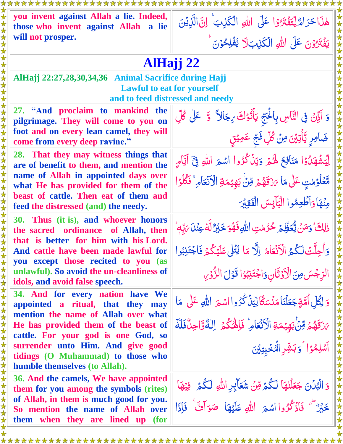| you invent against Allah a lie. Indeed,<br>those who invent against Allah a lie                                       | هٰذَا حَرَاهٌ لِتَفۡتَرُوۡا عَلَى اللَّهِ الْكَٰذِبَ ۚ إِنَّ الَّذِيۡنَ          |  |
|-----------------------------------------------------------------------------------------------------------------------|----------------------------------------------------------------------------------|--|
| will not prosper.                                                                                                     | يَفْتَرُوْنَ عَلَى اللَّهِ الْكَيْبَلَا يُفَلِحُوْنَ                             |  |
| AlHajj 22                                                                                                             |                                                                                  |  |
| AlHajj 22:27,28,30,34,36 Animal Sacrifice during Hajj                                                                 |                                                                                  |  |
| <b>Lawful to eat for yourself</b><br>and to feed distressed and needy                                                 |                                                                                  |  |
| 27. "And proclaim to mankind the<br>pilgrimage. They will come to you on                                              | وَ اَذِّنۡ فِی النَّاسِ بِالۡحَجِّ یَأۡتُوۡكَ مِجَالاً ۚ وَ ۚ عَلٰی کُلِّ        |  |
| foot and on every lean camel, they will<br>come from every deep ravine."                                              | ضَامِرِ يَّأْتِيْنَ مِنْ كُلِّ فَجَّ عَمِيْتٍ                                    |  |
| 28. That they may witness things that<br>are of benefit to them, and mention the                                      | لِّيَشَٰهَدُوۡا مَنَافِعَ لَهُمۡ وَيَذۡكُرُوا اسۡمَ اللّٰهِ فِيَٓ اَيَّامِ       |  |
| name of Allah in appointed days over<br>what He has provided for them of the<br>beast of cattle. Then eat of them and | مَّعَلْوُمْتِ عَلَى مَا يَزَقَهُمُ مِّنَ بَهِيْمَةِ الْأَنْعَامِ ۚ فَكُلُوۡ ا    |  |
| feed the distressed (and) the needy.                                                                                  | مِنْهَا وَأَطْعِمُوا الْبَابِسَ الْفَقِيْرَ                                      |  |
| 30. Thus (it is), and whoever honors<br>the sacred ordinance of Allah, then                                           | ذٰلِكَ ۚ وَمَنۡ يُّعَظِّمَ حُرُمٰتِ اللّٰهِ فَهُوَ حَبۡرٌ لَّهَٰ عِنۡلَ مَهِّبَا |  |
| that is better for him with his Lord.<br>And cattle have been made lawful for<br>you except those recited to you (as  | وَأُحِلَّتْ لَكُمُ الْأَنْعَامُ إِلَّا مَا يُتَلَىٰ عَلَيْكُمْ فَاجْتَنِبُوا     |  |
| unlawful). So avoid the un-cleanliness of<br>idols, and avoid false speech.                                           | الرِّجُسَ مِنَ الْأَوَثَانِ وَاجْتَنِبُوْا قَوْلَ الزُّوْرِ                      |  |
| 34. And for every nation have We<br>appointed a ritual, that they may                                                 | وَ لِكُلِّ أُمَّةٍ جَعَلْنَا مَنْسَكًا لِيِّنْ كُرُوا اسْمَ اللَّهِ عَلَى مَا    |  |
| mention the name of Allah over what<br>He has provided them of the beast of<br>cattle. For your god is one God, so    | مَرَتَهُمُ مِّنَٰ بَهِيْمَةِ الْأَنْعَامِرُ فَإِهْكُمُ اِلٰهٌوَّاجِلٌ فَلَةَ     |  |
| surrender unto Him. And give good<br>tidings (O Muhammad) to those who                                                | آشلِهُوۡۤا ۚ وَبَشِّرِ الۡمُخۡبِتِيۡنَ                                           |  |
| humble themselves (to Allah).                                                                                         |                                                                                  |  |
| 36. And the camels, We have appointed<br>them for you among the symbols (rites)                                       | وَ الْبُلُنَ جَعَلْنِهَا لَكُمْ مِّنْ شَعَالِدِ اللَّهِ لَكُمْ فِيْهَا           |  |
| of Allah, in them is much good for you.<br>So mention the name of Allah over<br>them when they are lined up (for      | خَيْرٌ ثَنَ فَأَذْكُرُوا اسْمَرَ اللَّهِ عَلَيْهَا صَوَافٌ فَإِذَا               |  |